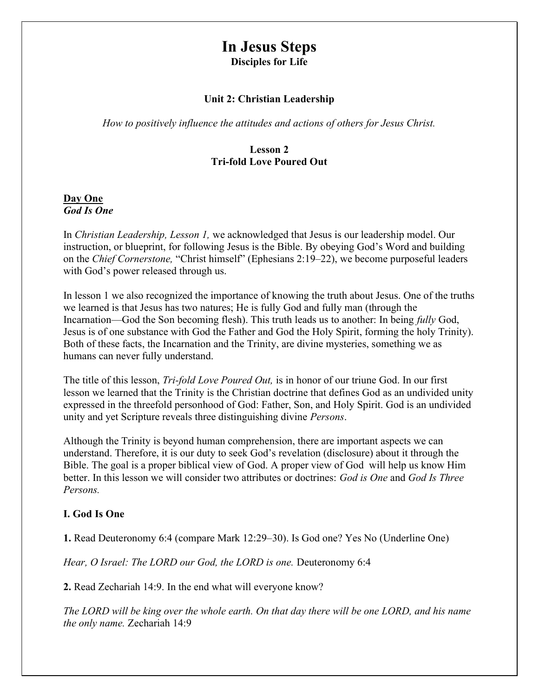# In Jesus Steps Disciples for Life

#### Unit 2: Christian Leadership

How to positively influence the attitudes and actions of others for Jesus Christ.

#### Lesson 2 Tri-fold Love Poured Out

#### Day One God Is One

In Christian Leadership, Lesson 1, we acknowledged that Jesus is our leadership model. Our instruction, or blueprint, for following Jesus is the Bible. By obeying God's Word and building on the Chief Cornerstone, "Christ himself" (Ephesians 2:19–22), we become purposeful leaders with God's power released through us.

In lesson 1 we also recognized the importance of knowing the truth about Jesus. One of the truths we learned is that Jesus has two natures; He is fully God and fully man (through the Incarnation—God the Son becoming flesh). This truth leads us to another: In being fully God, Jesus is of one substance with God the Father and God the Holy Spirit, forming the holy Trinity). Both of these facts, the Incarnation and the Trinity, are divine mysteries, something we as humans can never fully understand.

The title of this lesson, *Tri-fold Love Poured Out*, is in honor of our triune God. In our first lesson we learned that the Trinity is the Christian doctrine that defines God as an undivided unity expressed in the threefold personhood of God: Father, Son, and Holy Spirit. God is an undivided unity and yet Scripture reveals three distinguishing divine Persons.

Although the Trinity is beyond human comprehension, there are important aspects we can understand. Therefore, it is our duty to seek God's revelation (disclosure) about it through the Bible. The goal is a proper biblical view of God. A proper view of God will help us know Him better. In this lesson we will consider two attributes or doctrines: God is One and God Is Three Persons.

#### I. God Is One

1. Read Deuteronomy 6:4 (compare Mark 12:29–30). Is God one? Yes No (Underline One)

Hear, O Israel: The LORD our God, the LORD is one. Deuteronomy 6:4

2. Read Zechariah 14:9. In the end what will everyone know?

The LORD will be king over the whole earth. On that day there will be one LORD, and his name the only name. Zechariah 14:9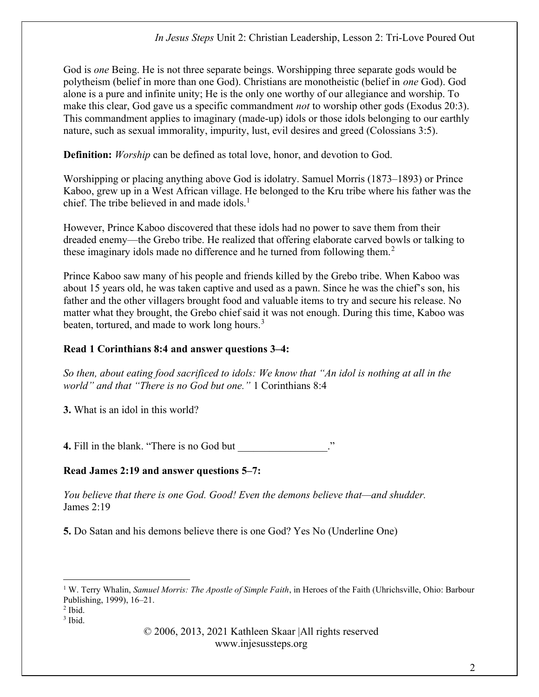God is *one* Being. He is not three separate beings. Worshipping three separate gods would be polytheism (belief in more than one God). Christians are monotheistic (belief in one God). God alone is a pure and infinite unity; He is the only one worthy of our allegiance and worship. To make this clear, God gave us a specific commandment *not* to worship other gods (Exodus 20:3). This commandment applies to imaginary (made-up) idols or those idols belonging to our earthly nature, such as sexual immorality, impurity, lust, evil desires and greed (Colossians 3:5).

**Definition:** Worship can be defined as total love, honor, and devotion to God.

Worshipping or placing anything above God is idolatry. Samuel Morris (1873–1893) or Prince Kaboo, grew up in a West African village. He belonged to the Kru tribe where his father was the chief. The tribe believed in and made idols.<sup>1</sup>

However, Prince Kaboo discovered that these idols had no power to save them from their dreaded enemy—the Grebo tribe. He realized that offering elaborate carved bowls or talking to these imaginary idols made no difference and he turned from following them.<sup>2</sup>

Prince Kaboo saw many of his people and friends killed by the Grebo tribe. When Kaboo was about 15 years old, he was taken captive and used as a pawn. Since he was the chief's son, his father and the other villagers brought food and valuable items to try and secure his release. No matter what they brought, the Grebo chief said it was not enough. During this time, Kaboo was beaten, tortured, and made to work long hours.<sup>3</sup>

### Read 1 Corinthians 8:4 and answer questions 3–4:

So then, about eating food sacrificed to idols: We know that "An idol is nothing at all in the world" and that "There is no God but one." 1 Corinthians 8:4

3. What is an idol in this world?

4. Fill in the blank. "There is no God but

### Read James 2:19 and answer questions 5–7:

You believe that there is one God. Good! Even the demons believe that—and shudder. James 2:19

5. Do Satan and his demons believe there is one God? Yes No (Underline One)

<sup>&</sup>lt;sup>1</sup> W. Terry Whalin, Samuel Morris: The Apostle of Simple Faith, in Heroes of the Faith (Uhrichsville, Ohio: Barbour Publishing, 1999), 16–21.

 $<sup>2</sup>$  Ibid.</sup>

<sup>3</sup> Ibid.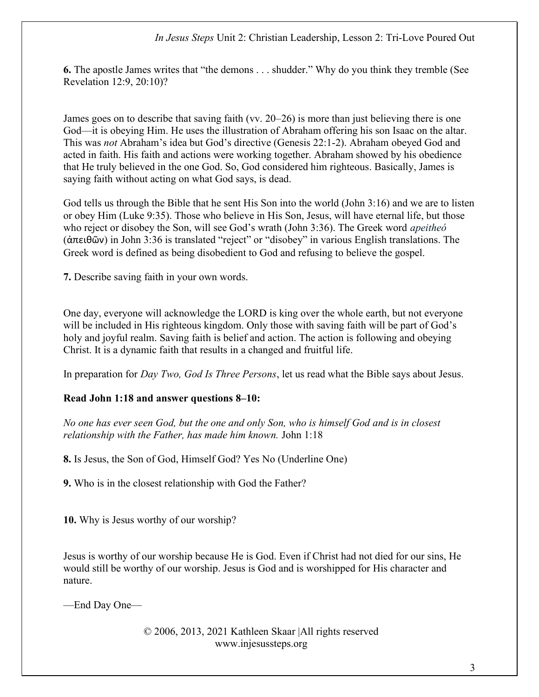6. The apostle James writes that "the demons . . . shudder." Why do you think they tremble (See Revelation 12:9, 20:10)?

James goes on to describe that saving faith (vv. 20–26) is more than just believing there is one God—it is obeying Him. He uses the illustration of Abraham offering his son Isaac on the altar. This was not Abraham's idea but God's directive (Genesis 22:1-2). Abraham obeyed God and acted in faith. His faith and actions were working together. Abraham showed by his obedience that He truly believed in the one God. So, God considered him righteous. Basically, James is saying faith without acting on what God says, is dead.

God tells us through the Bible that he sent His Son into the world (John 3:16) and we are to listen or obey Him (Luke 9:35). Those who believe in His Son, Jesus, will have eternal life, but those who reject or disobey the Son, will see God's wrath (John 3:36). The Greek word *apeitheó* (ἀπειθῶν) in John 3:36 is translated "reject" or "disobey" in various English translations. The Greek word is defined as being disobedient to God and refusing to believe the gospel.

7. Describe saving faith in your own words.

One day, everyone will acknowledge the LORD is king over the whole earth, but not everyone will be included in His righteous kingdom. Only those with saving faith will be part of God's holy and joyful realm. Saving faith is belief and action. The action is following and obeying Christ. It is a dynamic faith that results in a changed and fruitful life.

In preparation for *Day Two, God Is Three Persons*, let us read what the Bible says about Jesus.

### Read John 1:18 and answer questions 8–10:

No one has ever seen God, but the one and only Son, who is himself God and is in closest relationship with the Father, has made him known. John 1:18

8. Is Jesus, the Son of God, Himself God? Yes No (Underline One)

9. Who is in the closest relationship with God the Father?

10. Why is Jesus worthy of our worship?

Jesus is worthy of our worship because He is God. Even if Christ had not died for our sins, He would still be worthy of our worship. Jesus is God and is worshipped for His character and nature.

—End Day One—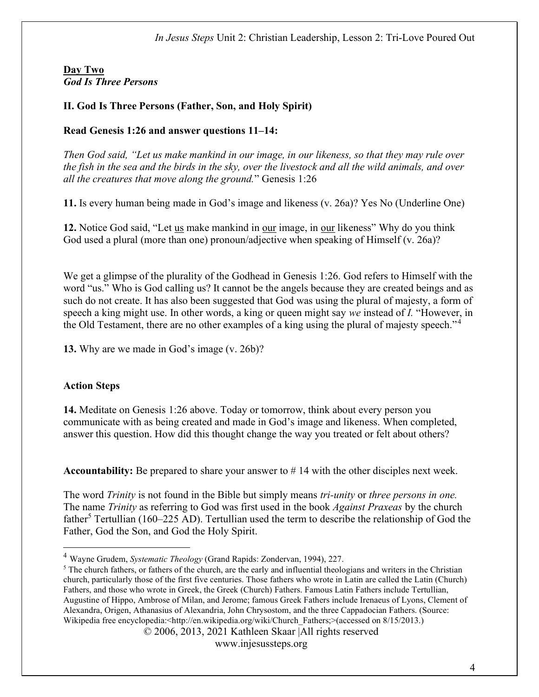### Day Two God Is Three Persons

## II. God Is Three Persons (Father, Son, and Holy Spirit)

### Read Genesis 1:26 and answer questions 11–14:

Then God said, "Let us make mankind in our image, in our likeness, so that they may rule over the fish in the sea and the birds in the sky, over the livestock and all the wild animals, and over all the creatures that move along the ground." Genesis 1:26

11. Is every human being made in God's image and likeness (v. 26a)? Yes No (Underline One)

12. Notice God said, "Let us make mankind in our image, in our likeness" Why do you think God used a plural (more than one) pronoun/adjective when speaking of Himself (v. 26a)?

We get a glimpse of the plurality of the Godhead in Genesis 1:26. God refers to Himself with the word "us." Who is God calling us? It cannot be the angels because they are created beings and as such do not create. It has also been suggested that God was using the plural of majesty, a form of speech a king might use. In other words, a king or queen might say we instead of I. "However, in the Old Testament, there are no other examples of a king using the plural of majesty speech."<sup>4</sup>

13. Why are we made in God's image (v. 26b)?

# Action Steps

14. Meditate on Genesis 1:26 above. Today or tomorrow, think about every person you communicate with as being created and made in God's image and likeness. When completed, answer this question. How did this thought change the way you treated or felt about others?

**Accountability:** Be prepared to share your answer to  $\#$  14 with the other disciples next week.

The word *Trinity* is not found in the Bible but simply means *tri-unity* or *three persons in one*. The name *Trinity* as referring to God was first used in the book *Against Praxeas* by the church father<sup>5</sup> Tertullian (160–225 AD). Tertullian used the term to describe the relationship of God the Father, God the Son, and God the Holy Spirit.

<sup>&</sup>lt;sup>4</sup> Wayne Grudem, Systematic Theology (Grand Rapids: Zondervan, 1994), 227.

 $<sup>5</sup>$  The church fathers, or fathers of the church, are the early and influential theologians and writers in the Christian</sup> church, particularly those of the first five centuries. Those fathers who wrote in Latin are called the Latin (Church) Fathers, and those who wrote in Greek, the Greek (Church) Fathers. Famous Latin Fathers include Tertullian, Augustine of Hippo, Ambrose of Milan, and Jerome; famous Greek Fathers include Irenaeus of Lyons, Clement of Alexandra, Origen, Athanasius of Alexandria, John Chrysostom, and the three Cappadocian Fathers. (Source: Wikipedia free encyclopedia:<http://en.wikipedia.org/wiki/Church\_Fathers;>(accessed on 8/15/2013.)

<sup>© 2006, 2013, 2021</sup> Kathleen Skaar |All rights reserved

www.injesussteps.org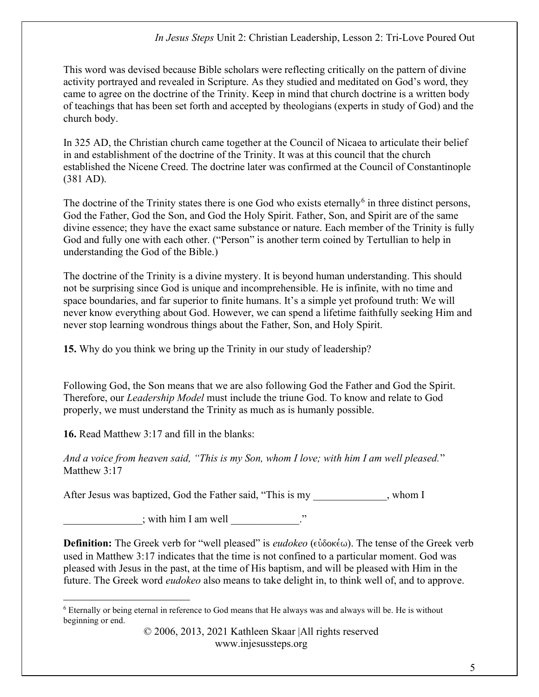This word was devised because Bible scholars were reflecting critically on the pattern of divine activity portrayed and revealed in Scripture. As they studied and meditated on God's word, they came to agree on the doctrine of the Trinity. Keep in mind that church doctrine is a written body of teachings that has been set forth and accepted by theologians (experts in study of God) and the church body.

In 325 AD, the Christian church came together at the Council of Nicaea to articulate their belief in and establishment of the doctrine of the Trinity. It was at this council that the church established the Nicene Creed. The doctrine later was confirmed at the Council of Constantinople (381 AD).

The doctrine of the Trinity states there is one God who exists eternally  $6$  in three distinct persons, God the Father, God the Son, and God the Holy Spirit. Father, Son, and Spirit are of the same divine essence; they have the exact same substance or nature. Each member of the Trinity is fully God and fully one with each other. ("Person" is another term coined by Tertullian to help in understanding the God of the Bible.)

The doctrine of the Trinity is a divine mystery. It is beyond human understanding. This should not be surprising since God is unique and incomprehensible. He is infinite, with no time and space boundaries, and far superior to finite humans. It's a simple yet profound truth: We will never know everything about God. However, we can spend a lifetime faithfully seeking Him and never stop learning wondrous things about the Father, Son, and Holy Spirit.

15. Why do you think we bring up the Trinity in our study of leadership?

Following God, the Son means that we are also following God the Father and God the Spirit. Therefore, our Leadership Model must include the triune God. To know and relate to God properly, we must understand the Trinity as much as is humanly possible.

16. Read Matthew 3:17 and fill in the blanks:

And a voice from heaven said, "This is my Son, whom I love; with him I am well pleased." Matthew 3:17

After Jesus was baptized, God the Father said, "This is my extended by the Mondon I

 $\therefore$  with him I am well  $\therefore$ "

**Definition:** The Greek verb for "well pleased" is *eudokeo* ( $\epsilon \dot{\omega}$ δοκέω). The tense of the Greek verb used in Matthew 3:17 indicates that the time is not confined to a particular moment. God was pleased with Jesus in the past, at the time of His baptism, and will be pleased with Him in the future. The Greek word *eudokeo* also means to take delight in, to think well of, and to approve.

<sup>&</sup>lt;sup>6</sup> Eternally or being eternal in reference to God means that He always was and always will be. He is without beginning or end.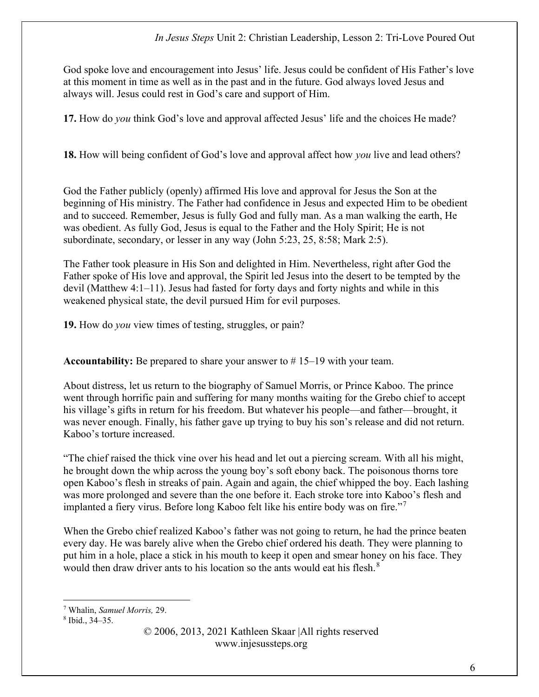God spoke love and encouragement into Jesus' life. Jesus could be confident of His Father's love at this moment in time as well as in the past and in the future. God always loved Jesus and always will. Jesus could rest in God's care and support of Him.

17. How do you think God's love and approval affected Jesus' life and the choices He made?

18. How will being confident of God's love and approval affect how you live and lead others?

God the Father publicly (openly) affirmed His love and approval for Jesus the Son at the beginning of His ministry. The Father had confidence in Jesus and expected Him to be obedient and to succeed. Remember, Jesus is fully God and fully man. As a man walking the earth, He was obedient. As fully God, Jesus is equal to the Father and the Holy Spirit; He is not subordinate, secondary, or lesser in any way (John 5:23, 25, 8:58; Mark 2:5).

The Father took pleasure in His Son and delighted in Him. Nevertheless, right after God the Father spoke of His love and approval, the Spirit led Jesus into the desert to be tempted by the devil (Matthew 4:1–11). Jesus had fasted for forty days and forty nights and while in this weakened physical state, the devil pursued Him for evil purposes.

19. How do you view times of testing, struggles, or pain?

Accountability: Be prepared to share your answer to  $# 15-19$  with your team.

About distress, let us return to the biography of Samuel Morris, or Prince Kaboo. The prince went through horrific pain and suffering for many months waiting for the Grebo chief to accept his village's gifts in return for his freedom. But whatever his people—and father—brought, it was never enough. Finally, his father gave up trying to buy his son's release and did not return. Kaboo's torture increased.

"The chief raised the thick vine over his head and let out a piercing scream. With all his might, he brought down the whip across the young boy's soft ebony back. The poisonous thorns tore open Kaboo's flesh in streaks of pain. Again and again, the chief whipped the boy. Each lashing was more prolonged and severe than the one before it. Each stroke tore into Kaboo's flesh and implanted a fiery virus. Before long Kaboo felt like his entire body was on fire."<sup>7</sup>

When the Grebo chief realized Kaboo's father was not going to return, he had the prince beaten every day. He was barely alive when the Grebo chief ordered his death. They were planning to put him in a hole, place a stick in his mouth to keep it open and smear honey on his face. They would then draw driver ants to his location so the ants would eat his flesh.<sup>8</sup>

<sup>&</sup>lt;sup>7</sup> Whalin, Samuel Morris, 29.

<sup>8</sup> Ibid., 34–35.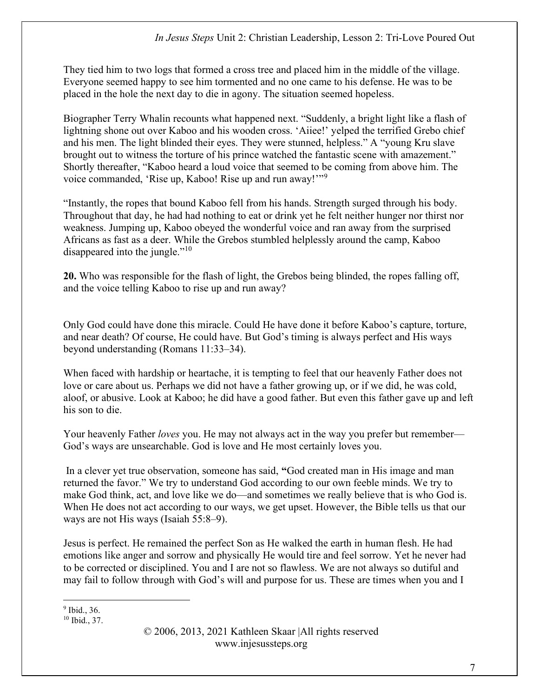They tied him to two logs that formed a cross tree and placed him in the middle of the village. Everyone seemed happy to see him tormented and no one came to his defense. He was to be placed in the hole the next day to die in agony. The situation seemed hopeless.

Biographer Terry Whalin recounts what happened next. "Suddenly, a bright light like a flash of lightning shone out over Kaboo and his wooden cross. 'Aiiee!' yelped the terrified Grebo chief and his men. The light blinded their eyes. They were stunned, helpless." A "young Kru slave brought out to witness the torture of his prince watched the fantastic scene with amazement." Shortly thereafter, "Kaboo heard a loud voice that seemed to be coming from above him. The voice commanded, 'Rise up, Kaboo! Rise up and run away!'"<sup>9</sup>

"Instantly, the ropes that bound Kaboo fell from his hands. Strength surged through his body. Throughout that day, he had had nothing to eat or drink yet he felt neither hunger nor thirst nor weakness. Jumping up, Kaboo obeyed the wonderful voice and ran away from the surprised Africans as fast as a deer. While the Grebos stumbled helplessly around the camp, Kaboo disappeared into the jungle."<sup>10</sup>

20. Who was responsible for the flash of light, the Grebos being blinded, the ropes falling off, and the voice telling Kaboo to rise up and run away?

Only God could have done this miracle. Could He have done it before Kaboo's capture, torture, and near death? Of course, He could have. But God's timing is always perfect and His ways beyond understanding (Romans 11:33–34).

When faced with hardship or heartache, it is tempting to feel that our heavenly Father does not love or care about us. Perhaps we did not have a father growing up, or if we did, he was cold, aloof, or abusive. Look at Kaboo; he did have a good father. But even this father gave up and left his son to die.

Your heavenly Father *loves* you. He may not always act in the way you prefer but remember— God's ways are unsearchable. God is love and He most certainly loves you.

In a clever yet true observation, someone has said, "God created man in His image and man returned the favor." We try to understand God according to our own feeble minds. We try to make God think, act, and love like we do—and sometimes we really believe that is who God is. When He does not act according to our ways, we get upset. However, the Bible tells us that our ways are not His ways (Isaiah 55:8–9).

Jesus is perfect. He remained the perfect Son as He walked the earth in human flesh. He had emotions like anger and sorrow and physically He would tire and feel sorrow. Yet he never had to be corrected or disciplined. You and I are not so flawless. We are not always so dutiful and may fail to follow through with God's will and purpose for us. These are times when you and I

<sup>&</sup>lt;sup>9</sup> Ibid., 36.

<sup>10</sup> Ibid., 37.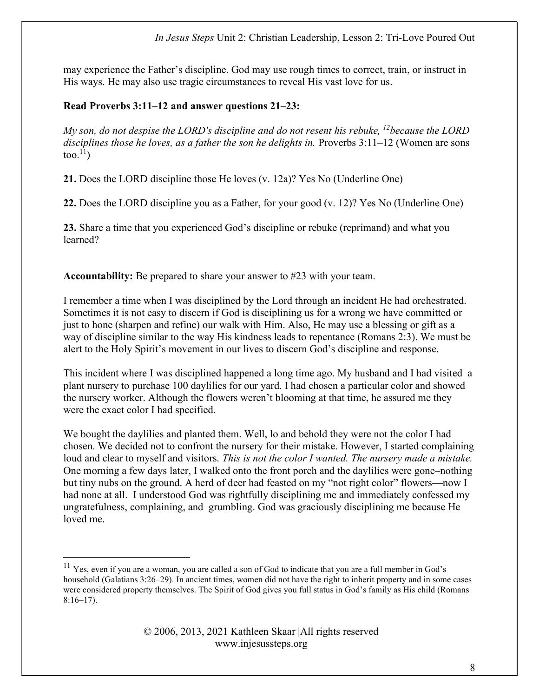### In Jesus Steps Unit 2: Christian Leadership, Lesson 2: Tri-Love Poured Out

may experience the Father's discipline. God may use rough times to correct, train, or instruct in His ways. He may also use tragic circumstances to reveal His vast love for us.

### Read Proverbs 3:11–12 and answer questions 21–23:

My son, do not despise the LORD's discipline and do not resent his rebuke,  $^{12}$ because the LORD disciplines those he loves, as a father the son he delights in. Proverbs  $3:11-12$  (Women are sons too. $^{11}$ )

21. Does the LORD discipline those He loves (v. 12a)? Yes No (Underline One)

22. Does the LORD discipline you as a Father, for your good (v. 12)? Yes No (Underline One)

23. Share a time that you experienced God's discipline or rebuke (reprimand) and what you learned?

Accountability: Be prepared to share your answer to #23 with your team.

I remember a time when I was disciplined by the Lord through an incident He had orchestrated. Sometimes it is not easy to discern if God is disciplining us for a wrong we have committed or just to hone (sharpen and refine) our walk with Him. Also, He may use a blessing or gift as a way of discipline similar to the way His kindness leads to repentance (Romans 2:3). We must be alert to the Holy Spirit's movement in our lives to discern God's discipline and response.

This incident where I was disciplined happened a long time ago. My husband and I had visited a plant nursery to purchase 100 daylilies for our yard. I had chosen a particular color and showed the nursery worker. Although the flowers weren't blooming at that time, he assured me they were the exact color I had specified.

We bought the daylilies and planted them. Well, lo and behold they were not the color I had chosen. We decided not to confront the nursery for their mistake. However, I started complaining loud and clear to myself and visitors. This is not the color I wanted. The nursery made a mistake. One morning a few days later, I walked onto the front porch and the daylilies were gone–nothing but tiny nubs on the ground. A herd of deer had feasted on my "not right color" flowers—now I had none at all. I understood God was rightfully disciplining me and immediately confessed my ungratefulness, complaining, and grumbling. God was graciously disciplining me because He loved me.

 $11$  Yes, even if you are a woman, you are called a son of God to indicate that you are a full member in God's household (Galatians 3:26–29). In ancient times, women did not have the right to inherit property and in some cases were considered property themselves. The Spirit of God gives you full status in God's family as His child (Romans  $8:16-17$ ).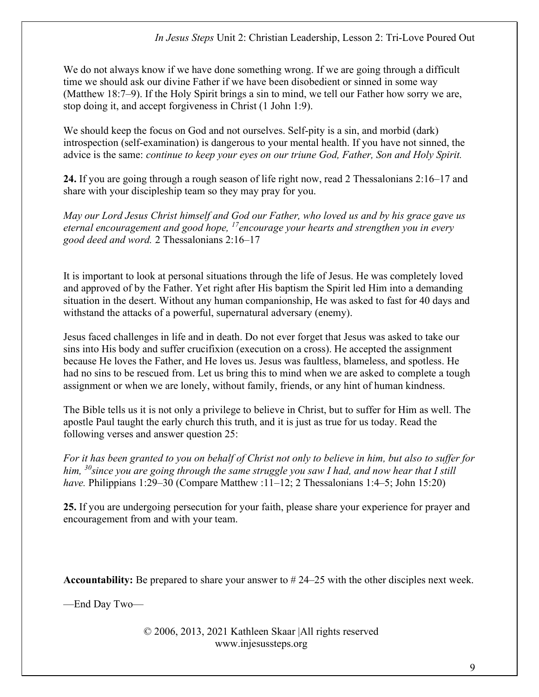We do not always know if we have done something wrong. If we are going through a difficult time we should ask our divine Father if we have been disobedient or sinned in some way (Matthew 18:7–9). If the Holy Spirit brings a sin to mind, we tell our Father how sorry we are, stop doing it, and accept forgiveness in Christ (1 John 1:9).

We should keep the focus on God and not ourselves. Self-pity is a sin, and morbid (dark) introspection (self-examination) is dangerous to your mental health. If you have not sinned, the advice is the same: *continue to keep your eyes on our triune God, Father, Son and Holy Spirit.* 

24. If you are going through a rough season of life right now, read 2 Thessalonians 2:16–17 and share with your discipleship team so they may pray for you.

May our Lord Jesus Christ himself and God our Father, who loved us and by his grace gave us eternal encouragement and good hope,  $^{17}$ encourage your hearts and strengthen you in every good deed and word. 2 Thessalonians 2:16–17

It is important to look at personal situations through the life of Jesus. He was completely loved and approved of by the Father. Yet right after His baptism the Spirit led Him into a demanding situation in the desert. Without any human companionship, He was asked to fast for 40 days and withstand the attacks of a powerful, supernatural adversary (enemy).

Jesus faced challenges in life and in death. Do not ever forget that Jesus was asked to take our sins into His body and suffer crucifixion (execution on a cross). He accepted the assignment because He loves the Father, and He loves us. Jesus was faultless, blameless, and spotless. He had no sins to be rescued from. Let us bring this to mind when we are asked to complete a tough assignment or when we are lonely, without family, friends, or any hint of human kindness.

The Bible tells us it is not only a privilege to believe in Christ, but to suffer for Him as well. The apostle Paul taught the early church this truth, and it is just as true for us today. Read the following verses and answer question 25:

For it has been granted to you on behalf of Christ not only to believe in him, but also to suffer for him,  $30$  since you are going through the same struggle you saw I had, and now hear that I still have. Philippians 1:29–30 (Compare Matthew :11–12; 2 Thessalonians 1:4–5; John 15:20)

25. If you are undergoing persecution for your faith, please share your experience for prayer and encouragement from and with your team.

Accountability: Be prepared to share your answer to #24–25 with the other disciples next week.

—End Day Two—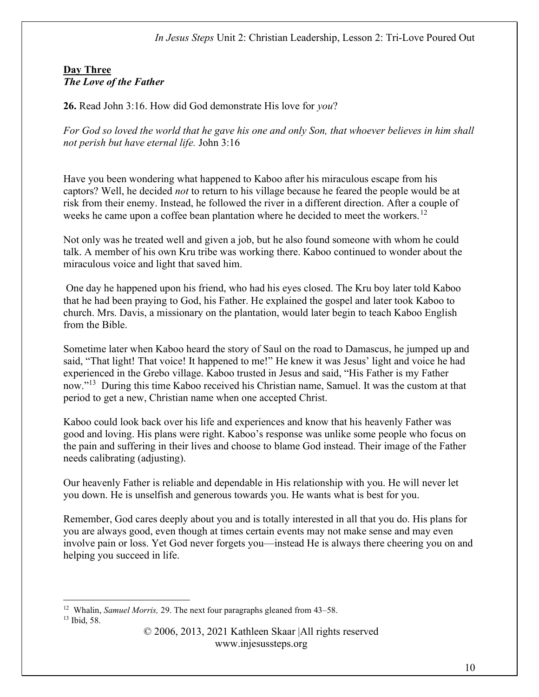#### In Jesus Steps Unit 2: Christian Leadership, Lesson 2: Tri-Love Poured Out

#### Day Three The Love of the Father

26. Read John 3:16. How did God demonstrate His love for you?

For God so loved the world that he gave his one and only Son, that whoever believes in him shall not perish but have eternal life. John 3:16

Have you been wondering what happened to Kaboo after his miraculous escape from his captors? Well, he decided not to return to his village because he feared the people would be at risk from their enemy. Instead, he followed the river in a different direction. After a couple of weeks he came upon a coffee bean plantation where he decided to meet the workers.<sup>12</sup>

Not only was he treated well and given a job, but he also found someone with whom he could talk. A member of his own Kru tribe was working there. Kaboo continued to wonder about the miraculous voice and light that saved him.

 One day he happened upon his friend, who had his eyes closed. The Kru boy later told Kaboo that he had been praying to God, his Father. He explained the gospel and later took Kaboo to church. Mrs. Davis, a missionary on the plantation, would later begin to teach Kaboo English from the Bible.

Sometime later when Kaboo heard the story of Saul on the road to Damascus, he jumped up and said, "That light! That voice! It happened to me!" He knew it was Jesus' light and voice he had experienced in the Grebo village. Kaboo trusted in Jesus and said, "His Father is my Father now."<sup>13</sup> During this time Kaboo received his Christian name, Samuel. It was the custom at that period to get a new, Christian name when one accepted Christ.

Kaboo could look back over his life and experiences and know that his heavenly Father was good and loving. His plans were right. Kaboo's response was unlike some people who focus on the pain and suffering in their lives and choose to blame God instead. Their image of the Father needs calibrating (adjusting).

Our heavenly Father is reliable and dependable in His relationship with you. He will never let you down. He is unselfish and generous towards you. He wants what is best for you.

Remember, God cares deeply about you and is totally interested in all that you do. His plans for you are always good, even though at times certain events may not make sense and may even involve pain or loss. Yet God never forgets you—instead He is always there cheering you on and helping you succeed in life.

<sup>&</sup>lt;sup>12</sup> Whalin, *Samuel Morris*, 29. The next four paragraphs gleaned from  $43-58$ . 13 Ibid, 58.

<sup>© 2006, 2013, 2021</sup> Kathleen Skaar |All rights reserved www.injesussteps.org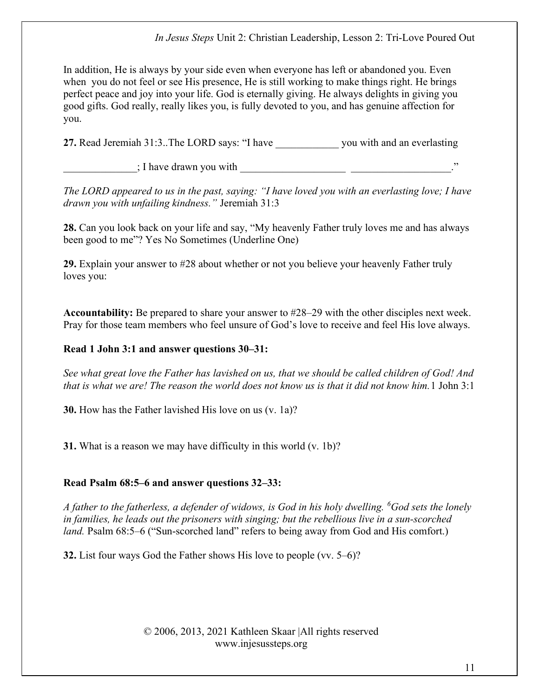In addition, He is always by your side even when everyone has left or abandoned you. Even when you do not feel or see His presence, He is still working to make things right. He brings perfect peace and joy into your life. God is eternally giving. He always delights in giving you good gifts. God really, really likes you, is fully devoted to you, and has genuine affection for you.

27. Read Jeremiah 31:3..The LORD says: "I have you with and an everlasting

; I have drawn you with

The LORD appeared to us in the past, saying: "I have loved you with an everlasting love; I have drawn you with unfailing kindness." Jeremiah 31:3

28. Can you look back on your life and say, "My heavenly Father truly loves me and has always been good to me"? Yes No Sometimes (Underline One)

29. Explain your answer to #28 about whether or not you believe your heavenly Father truly loves you:

Accountability: Be prepared to share your answer to #28–29 with the other disciples next week. Pray for those team members who feel unsure of God's love to receive and feel His love always.

# Read 1 John 3:1 and answer questions 30–31:

See what great love the Father has lavished on us, that we should be called children of God! And that is what we are! The reason the world does not know us is that it did not know him.1 John 3:1

30. How has the Father lavished His love on us (v. 1a)?

31. What is a reason we may have difficulty in this world (v. 1b)?

# Read Psalm 68:5–6 and answer questions 32–33:

A father to the fatherless, a defender of widows, is God in his holy dwelling. <sup>6</sup>God sets the lonely in families, he leads out the prisoners with singing; but the rebellious live in a sun-scorched land. Psalm 68:5–6 ("Sun-scorched land" refers to being away from God and His comfort.)

32. List four ways God the Father shows His love to people (vv. 5–6)?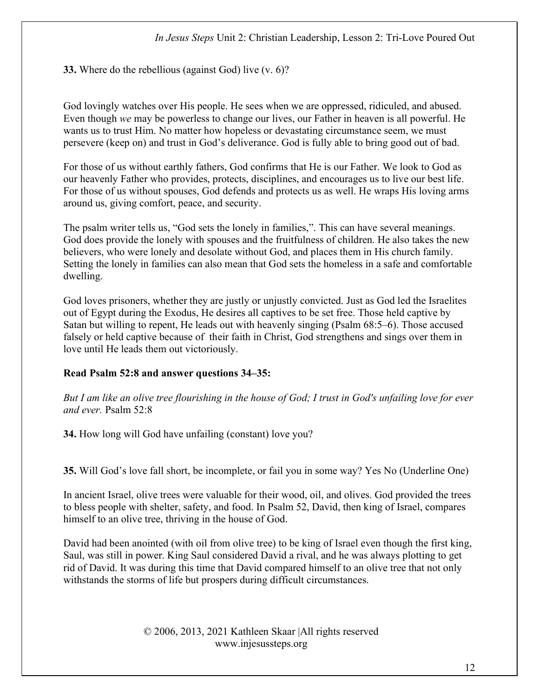33. Where do the rebellious (against God) live (v. 6)?

God lovingly watches over His people. He sees when we are oppressed, ridiculed, and abused. Even though we may be powerless to change our lives, our Father in heaven is all powerful. He wants us to trust Him. No matter how hopeless or devastating circumstance seem, we must persevere (keep on) and trust in God's deliverance. God is fully able to bring good out of bad.

For those of us without earthly fathers, God confirms that He is our Father. We look to God as our heavenly Father who provides, protects, disciplines, and encourages us to live our best life. For those of us without spouses, God defends and protects us as well. He wraps His loving arms around us, giving comfort, peace, and security.

The psalm writer tells us, "God sets the lonely in families,". This can have several meanings. God does provide the lonely with spouses and the fruitfulness of children. He also takes the new believers, who were lonely and desolate without God, and places them in His church family. Setting the lonely in families can also mean that God sets the homeless in a safe and comfortable dwelling.

God loves prisoners, whether they are justly or unjustly convicted. Just as God led the Israelites out of Egypt during the Exodus, He desires all captives to be set free. Those held captive by Satan but willing to repent, He leads out with heavenly singing (Psalm 68:5–6). Those accused falsely or held captive because of their faith in Christ, God strengthens and sings over them in love until He leads them out victoriously.

# Read Psalm 52:8 and answer questions 34–35:

But I am like an olive tree flourishing in the house of God; I trust in God's unfailing love for ever and ever. Psalm 52:8

34. How long will God have unfailing (constant) love you?

35. Will God's love fall short, be incomplete, or fail you in some way? Yes No (Underline One)

In ancient Israel, olive trees were valuable for their wood, oil, and olives. God provided the trees to bless people with shelter, safety, and food. In Psalm 52, David, then king of Israel, compares himself to an olive tree, thriving in the house of God.

David had been anointed (with oil from olive tree) to be king of Israel even though the first king, Saul, was still in power. King Saul considered David a rival, and he was always plotting to get rid of David. It was during this time that David compared himself to an olive tree that not only withstands the storms of life but prospers during difficult circumstances.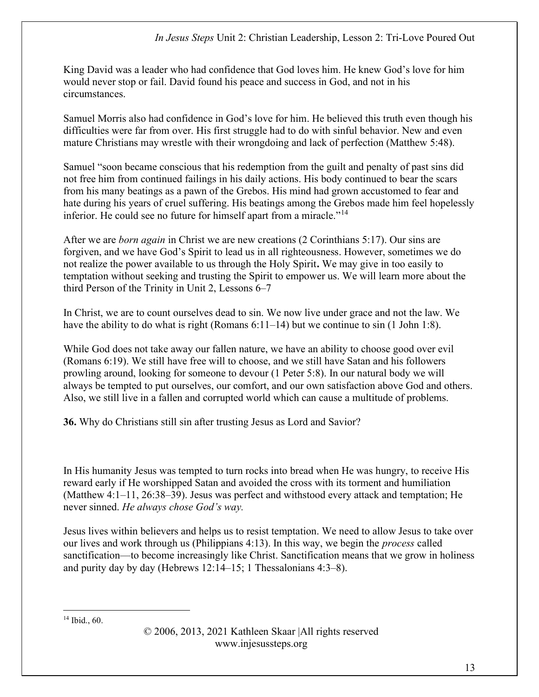King David was a leader who had confidence that God loves him. He knew God's love for him would never stop or fail. David found his peace and success in God, and not in his circumstances.

Samuel Morris also had confidence in God's love for him. He believed this truth even though his difficulties were far from over. His first struggle had to do with sinful behavior. New and even mature Christians may wrestle with their wrongdoing and lack of perfection (Matthew 5:48).

Samuel "soon became conscious that his redemption from the guilt and penalty of past sins did not free him from continued failings in his daily actions. His body continued to bear the scars from his many beatings as a pawn of the Grebos. His mind had grown accustomed to fear and hate during his years of cruel suffering. His beatings among the Grebos made him feel hopelessly inferior. He could see no future for himself apart from a miracle."<sup>14</sup>

After we are born again in Christ we are new creations (2 Corinthians 5:17). Our sins are forgiven, and we have God's Spirit to lead us in all righteousness. However, sometimes we do not realize the power available to us through the Holy Spirit. We may give in too easily to temptation without seeking and trusting the Spirit to empower us. We will learn more about the third Person of the Trinity in Unit 2, Lessons 6–7

In Christ, we are to count ourselves dead to sin. We now live under grace and not the law. We have the ability to do what is right (Romans  $6:11-14$ ) but we continue to sin (1 John 1:8).

While God does not take away our fallen nature, we have an ability to choose good over evil (Romans 6:19). We still have free will to choose, and we still have Satan and his followers prowling around, looking for someone to devour (1 Peter 5:8). In our natural body we will always be tempted to put ourselves, our comfort, and our own satisfaction above God and others. Also, we still live in a fallen and corrupted world which can cause a multitude of problems.

36. Why do Christians still sin after trusting Jesus as Lord and Savior?

In His humanity Jesus was tempted to turn rocks into bread when He was hungry, to receive His reward early if He worshipped Satan and avoided the cross with its torment and humiliation (Matthew 4:1–11, 26:38–39). Jesus was perfect and withstood every attack and temptation; He never sinned. He always chose God's way.

Jesus lives within believers and helps us to resist temptation. We need to allow Jesus to take over our lives and work through us (Philippians 4:13). In this way, we begin the process called sanctification—to become increasingly like Christ. Sanctification means that we grow in holiness and purity day by day (Hebrews 12:14–15; 1 Thessalonians 4:3–8).

14 Ibid., 60.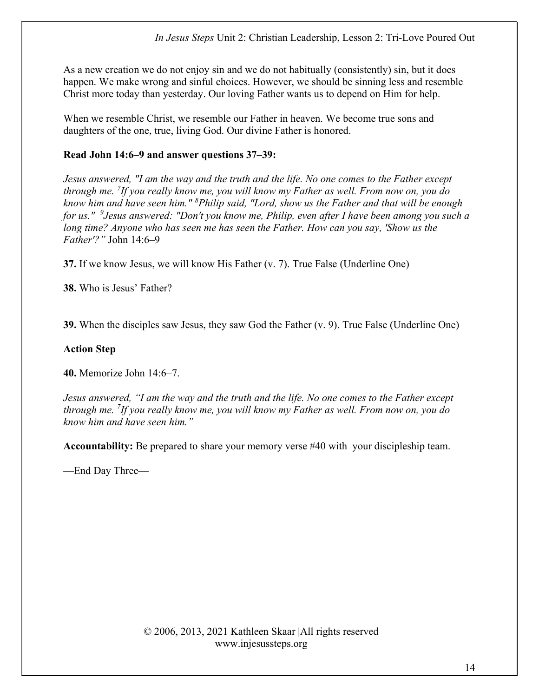As a new creation we do not enjoy sin and we do not habitually (consistently) sin, but it does happen. We make wrong and sinful choices. However, we should be sinning less and resemble Christ more today than yesterday. Our loving Father wants us to depend on Him for help.

When we resemble Christ, we resemble our Father in heaven. We become true sons and daughters of the one, true, living God. Our divine Father is honored.

### Read John 14:6–9 and answer questions 37–39:

Jesus answered, "I am the way and the truth and the life. No one comes to the Father except through me. <sup>7</sup>If you really know me, you will know my Father as well. From now on, you do know him and have seen him." <sup>8</sup>Philip said, "Lord, show us the Father and that will be enough for us."  $9$  Jesus answered: "Don't you know me, Philip, even after I have been among you such a long time? Anyone who has seen me has seen the Father. How can you say, 'Show us the  $Father'$ ?" John  $14:6-9$ 

37. If we know Jesus, we will know His Father (v. 7). True False (Underline One)

38. Who is Jesus' Father?

39. When the disciples saw Jesus, they saw God the Father (v. 9). True False (Underline One)

### Action Step

40. Memorize John 14:6–7.

Jesus answered, "I am the way and the truth and the life. No one comes to the Father except through me. <sup>7</sup>If you really know me, you will know my Father as well. From now on, you do know him and have seen him."

Accountability: Be prepared to share your memory verse #40 with your discipleship team.

—End Day Three—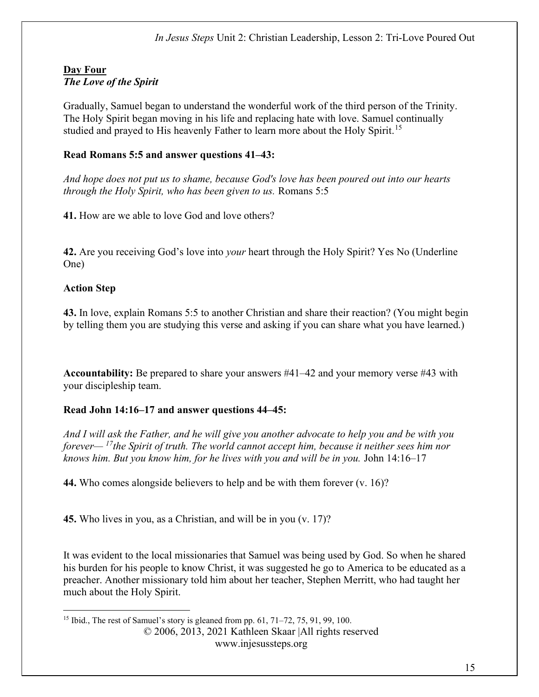### Day Four The Love of the Spirit

Gradually, Samuel began to understand the wonderful work of the third person of the Trinity. The Holy Spirit began moving in his life and replacing hate with love. Samuel continually studied and prayed to His heavenly Father to learn more about the Holy Spirit.<sup>15</sup>

## Read Romans 5:5 and answer questions 41–43:

And hope does not put us to shame, because God's love has been poured out into our hearts through the Holy Spirit, who has been given to us. Romans 5:5

41. How are we able to love God and love others?

42. Are you receiving God's love into *your* heart through the Holy Spirit? Yes No (Underline One)

### Action Step

43. In love, explain Romans 5:5 to another Christian and share their reaction? (You might begin by telling them you are studying this verse and asking if you can share what you have learned.)

Accountability: Be prepared to share your answers #41–42 and your memory verse #43 with your discipleship team.

### Read John 14:16–17 and answer questions 44–45:

And I will ask the Father, and he will give you another advocate to help you and be with you forever—  $\frac{17}{1}$ the Spirit of truth. The world cannot accept him, because it neither sees him nor knows him. But you know him, for he lives with you and will be in you. John 14:16–17

44. Who comes alongside believers to help and be with them forever (v. 16)?

45. Who lives in you, as a Christian, and will be in you (v. 17)?

It was evident to the local missionaries that Samuel was being used by God. So when he shared his burden for his people to know Christ, it was suggested he go to America to be educated as a preacher. Another missionary told him about her teacher, Stephen Merritt, who had taught her much about the Holy Spirit.

www.injesussteps.org

<sup>© 2006, 2013, 2021</sup> Kathleen Skaar |All rights reserved <sup>15</sup> Ibid., The rest of Samuel's story is gleaned from pp.  $61, 71–72, 75, 91, 99, 100$ .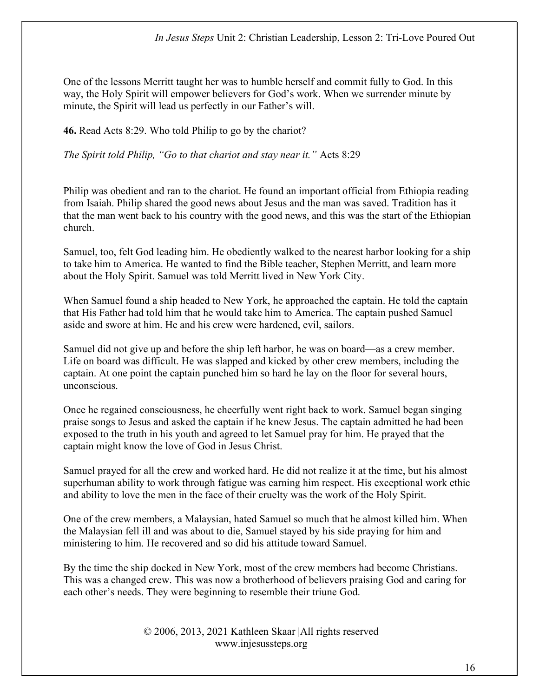One of the lessons Merritt taught her was to humble herself and commit fully to God. In this way, the Holy Spirit will empower believers for God's work. When we surrender minute by minute, the Spirit will lead us perfectly in our Father's will.

46. Read Acts 8:29. Who told Philip to go by the chariot?

The Spirit told Philip, "Go to that chariot and stay near it." Acts 8:29

Philip was obedient and ran to the chariot. He found an important official from Ethiopia reading from Isaiah. Philip shared the good news about Jesus and the man was saved. Tradition has it that the man went back to his country with the good news, and this was the start of the Ethiopian church.

Samuel, too, felt God leading him. He obediently walked to the nearest harbor looking for a ship to take him to America. He wanted to find the Bible teacher, Stephen Merritt, and learn more about the Holy Spirit. Samuel was told Merritt lived in New York City.

When Samuel found a ship headed to New York, he approached the captain. He told the captain that His Father had told him that he would take him to America. The captain pushed Samuel aside and swore at him. He and his crew were hardened, evil, sailors.

Samuel did not give up and before the ship left harbor, he was on board—as a crew member. Life on board was difficult. He was slapped and kicked by other crew members, including the captain. At one point the captain punched him so hard he lay on the floor for several hours, unconscious.

Once he regained consciousness, he cheerfully went right back to work. Samuel began singing praise songs to Jesus and asked the captain if he knew Jesus. The captain admitted he had been exposed to the truth in his youth and agreed to let Samuel pray for him. He prayed that the captain might know the love of God in Jesus Christ.

Samuel prayed for all the crew and worked hard. He did not realize it at the time, but his almost superhuman ability to work through fatigue was earning him respect. His exceptional work ethic and ability to love the men in the face of their cruelty was the work of the Holy Spirit.

One of the crew members, a Malaysian, hated Samuel so much that he almost killed him. When the Malaysian fell ill and was about to die, Samuel stayed by his side praying for him and ministering to him. He recovered and so did his attitude toward Samuel.

By the time the ship docked in New York, most of the crew members had become Christians. This was a changed crew. This was now a brotherhood of believers praising God and caring for each other's needs. They were beginning to resemble their triune God.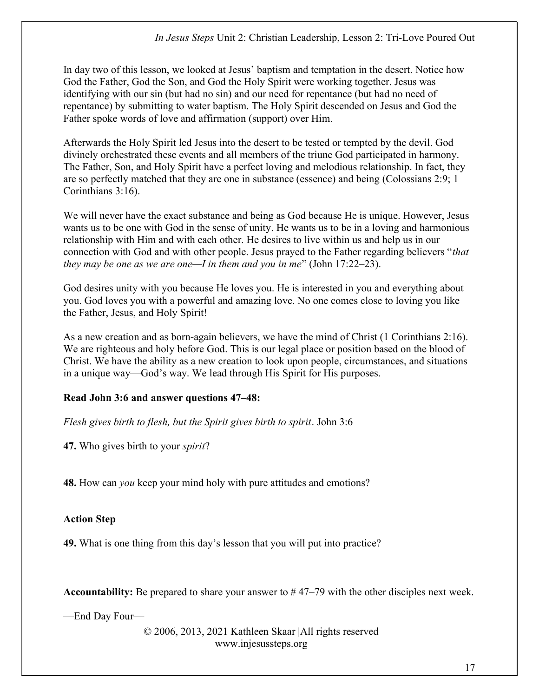In day two of this lesson, we looked at Jesus' baptism and temptation in the desert. Notice how God the Father, God the Son, and God the Holy Spirit were working together. Jesus was identifying with our sin (but had no sin) and our need for repentance (but had no need of repentance) by submitting to water baptism. The Holy Spirit descended on Jesus and God the Father spoke words of love and affirmation (support) over Him.

Afterwards the Holy Spirit led Jesus into the desert to be tested or tempted by the devil. God divinely orchestrated these events and all members of the triune God participated in harmony. The Father, Son, and Holy Spirit have a perfect loving and melodious relationship. In fact, they are so perfectly matched that they are one in substance (essence) and being (Colossians 2:9; 1 Corinthians 3:16).

We will never have the exact substance and being as God because He is unique. However, Jesus wants us to be one with God in the sense of unity. He wants us to be in a loving and harmonious relationship with Him and with each other. He desires to live within us and help us in our connection with God and with other people. Jesus prayed to the Father regarding believers "that they may be one as we are one—I in them and you in me" (John  $17:22-23$ ).

God desires unity with you because He loves you. He is interested in you and everything about you. God loves you with a powerful and amazing love. No one comes close to loving you like the Father, Jesus, and Holy Spirit!

As a new creation and as born-again believers, we have the mind of Christ (1 Corinthians 2:16). We are righteous and holy before God. This is our legal place or position based on the blood of Christ. We have the ability as a new creation to look upon people, circumstances, and situations in a unique way—God's way. We lead through His Spirit for His purposes.

### Read John 3:6 and answer questions 47–48:

Flesh gives birth to flesh, but the Spirit gives birth to spirit. John 3:6

47. Who gives birth to your *spirit*?

**48.** How can *you* keep your mind holy with pure attitudes and emotions?

### Action Step

49. What is one thing from this day's lesson that you will put into practice?

**Accountability:** Be prepared to share your answer to  $#47-79$  with the other disciples next week.

—End Day Four—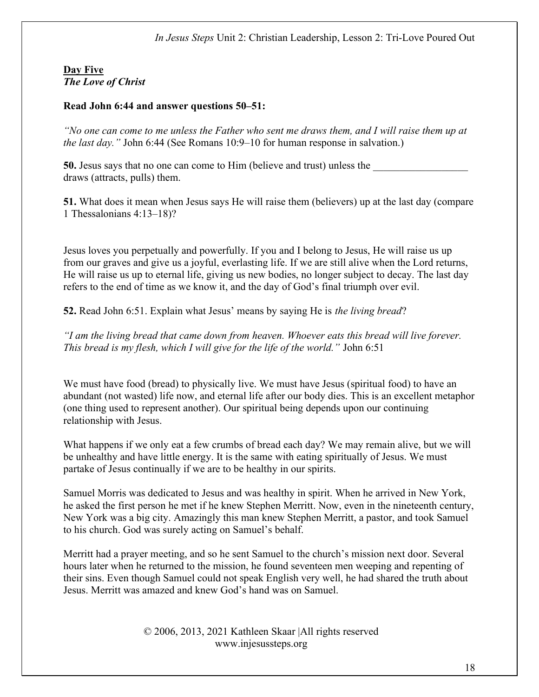## Day Five The Love of Christ

### Read John 6:44 and answer questions 50–51:

"No one can come to me unless the Father who sent me draws them, and I will raise them up at the last day." John 6:44 (See Romans 10:9–10 for human response in salvation.)

50. Jesus says that no one can come to Him (believe and trust) unless the draws (attracts, pulls) them.

51. What does it mean when Jesus says He will raise them (believers) up at the last day (compare 1 Thessalonians 4:13–18)?

Jesus loves you perpetually and powerfully. If you and I belong to Jesus, He will raise us up from our graves and give us a joyful, everlasting life. If we are still alive when the Lord returns, He will raise us up to eternal life, giving us new bodies, no longer subject to decay. The last day refers to the end of time as we know it, and the day of God's final triumph over evil.

52. Read John 6:51. Explain what Jesus' means by saying He is *the living bread*?

"I am the living bread that came down from heaven. Whoever eats this bread will live forever. This bread is my flesh, which I will give for the life of the world." John 6:51

We must have food (bread) to physically live. We must have Jesus (spiritual food) to have an abundant (not wasted) life now, and eternal life after our body dies. This is an excellent metaphor (one thing used to represent another). Our spiritual being depends upon our continuing relationship with Jesus.

What happens if we only eat a few crumbs of bread each day? We may remain alive, but we will be unhealthy and have little energy. It is the same with eating spiritually of Jesus. We must partake of Jesus continually if we are to be healthy in our spirits.

Samuel Morris was dedicated to Jesus and was healthy in spirit. When he arrived in New York, he asked the first person he met if he knew Stephen Merritt. Now, even in the nineteenth century, New York was a big city. Amazingly this man knew Stephen Merritt, a pastor, and took Samuel to his church. God was surely acting on Samuel's behalf.

Merritt had a prayer meeting, and so he sent Samuel to the church's mission next door. Several hours later when he returned to the mission, he found seventeen men weeping and repenting of their sins. Even though Samuel could not speak English very well, he had shared the truth about Jesus. Merritt was amazed and knew God's hand was on Samuel.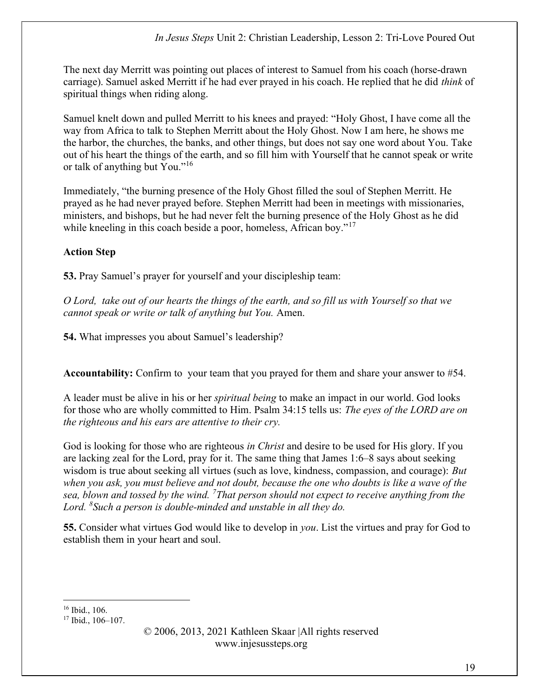The next day Merritt was pointing out places of interest to Samuel from his coach (horse-drawn carriage). Samuel asked Merritt if he had ever prayed in his coach. He replied that he did think of spiritual things when riding along.

Samuel knelt down and pulled Merritt to his knees and prayed: "Holy Ghost, I have come all the way from Africa to talk to Stephen Merritt about the Holy Ghost. Now I am here, he shows me the harbor, the churches, the banks, and other things, but does not say one word about You. Take out of his heart the things of the earth, and so fill him with Yourself that he cannot speak or write or talk of anything but You."<sup>16</sup>

Immediately, "the burning presence of the Holy Ghost filled the soul of Stephen Merritt. He prayed as he had never prayed before. Stephen Merritt had been in meetings with missionaries, ministers, and bishops, but he had never felt the burning presence of the Holy Ghost as he did while kneeling in this coach beside a poor, homeless, African boy."<sup>17</sup>

# Action Step

53. Pray Samuel's prayer for yourself and your discipleship team:

O Lord, take out of our hearts the things of the earth, and so fill us with Yourself so that we cannot speak or write or talk of anything but You. Amen.

54. What impresses you about Samuel's leadership?

Accountability: Confirm to your team that you prayed for them and share your answer to #54.

A leader must be alive in his or her spiritual being to make an impact in our world. God looks for those who are wholly committed to Him. Psalm 34:15 tells us: The eyes of the LORD are on the righteous and his ears are attentive to their cry.

God is looking for those who are righteous *in Christ* and desire to be used for His glory. If you are lacking zeal for the Lord, pray for it. The same thing that James 1:6–8 says about seeking wisdom is true about seeking all virtues (such as love, kindness, compassion, and courage): But when you ask, you must believe and not doubt, because the one who doubts is like a wave of the sea, blown and tossed by the wind. <sup>7</sup>That person should not expect to receive anything from the Lord.  $8$ Such a person is double-minded and unstable in all they do.

55. Consider what virtues God would like to develop in you. List the virtues and pray for God to establish them in your heart and soul.

<sup>16</sup> Ibid., 106.

<sup>17</sup> Ibid., 106–107.

<sup>© 2006, 2013, 2021</sup> Kathleen Skaar |All rights reserved www.injesussteps.org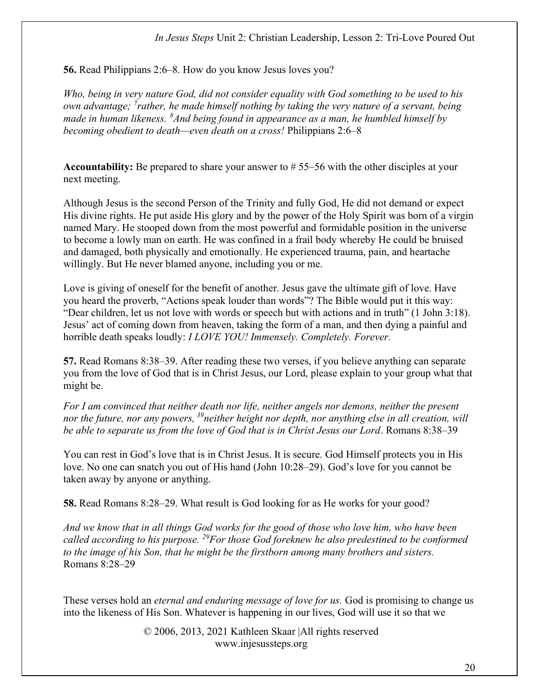### In Jesus Steps Unit 2: Christian Leadership, Lesson 2: Tri-Love Poured Out

56. Read Philippians 2:6–8. How do you know Jesus loves you?

Who, being in very nature God, did not consider equality with God something to be used to his own advantage;  $\frac{7}{1}$ rather, he made himself nothing by taking the very nature of a servant, being made in human likeness.  ${}^{8}$ And being found in appearance as a man, he humbled himself by becoming obedient to death—even death on a cross! Philippians 2:6–8

Accountability: Be prepared to share your answer to # 55–56 with the other disciples at your next meeting.

Although Jesus is the second Person of the Trinity and fully God, He did not demand or expect His divine rights. He put aside His glory and by the power of the Holy Spirit was born of a virgin named Mary. He stooped down from the most powerful and formidable position in the universe to become a lowly man on earth. He was confined in a frail body whereby He could be bruised and damaged, both physically and emotionally. He experienced trauma, pain, and heartache willingly. But He never blamed anyone, including you or me.

Love is giving of oneself for the benefit of another. Jesus gave the ultimate gift of love. Have you heard the proverb, "Actions speak louder than words"? The Bible would put it this way: "Dear children, let us not love with words or speech but with actions and in truth" (1 John 3:18). Jesus' act of coming down from heaven, taking the form of a man, and then dying a painful and horrible death speaks loudly: *I LOVE YOU! Immensely. Completely. Forever.* 

57. Read Romans 8:38–39. After reading these two verses, if you believe anything can separate you from the love of God that is in Christ Jesus, our Lord, please explain to your group what that might be.

For I am convinced that neither death nor life, neither angels nor demons, neither the present nor the future, nor any powers,  $39$  neither height nor depth, nor anything else in all creation, will be able to separate us from the love of God that is in Christ Jesus our Lord. Romans 8:38–39

You can rest in God's love that is in Christ Jesus. It is secure. God Himself protects you in His love. No one can snatch you out of His hand (John 10:28–29). God's love for you cannot be taken away by anyone or anything.

58. Read Romans 8:28–29. What result is God looking for as He works for your good?

And we know that in all things God works for the good of those who love him, who have been called according to his purpose. <sup>29</sup>For those God foreknew he also predestined to be conformed to the image of his Son, that he might be the firstborn among many brothers and sisters. Romans 8:28–29

These verses hold an *eternal and enduring message of love for us*. God is promising to change us into the likeness of His Son. Whatever is happening in our lives, God will use it so that we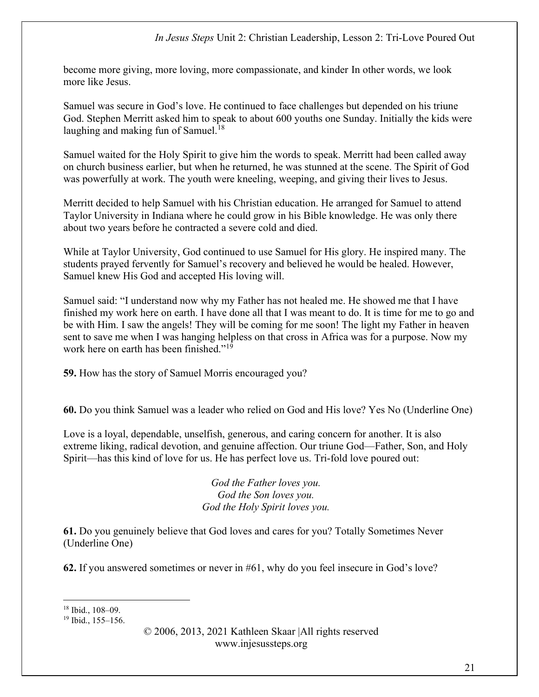become more giving, more loving, more compassionate, and kinder In other words, we look more like Jesus.

Samuel was secure in God's love. He continued to face challenges but depended on his triune God. Stephen Merritt asked him to speak to about 600 youths one Sunday. Initially the kids were laughing and making fun of Samuel. $18$ 

Samuel waited for the Holy Spirit to give him the words to speak. Merritt had been called away on church business earlier, but when he returned, he was stunned at the scene. The Spirit of God was powerfully at work. The youth were kneeling, weeping, and giving their lives to Jesus.

Merritt decided to help Samuel with his Christian education. He arranged for Samuel to attend Taylor University in Indiana where he could grow in his Bible knowledge. He was only there about two years before he contracted a severe cold and died.

While at Taylor University, God continued to use Samuel for His glory. He inspired many. The students prayed fervently for Samuel's recovery and believed he would be healed. However, Samuel knew His God and accepted His loving will.

Samuel said: "I understand now why my Father has not healed me. He showed me that I have finished my work here on earth. I have done all that I was meant to do. It is time for me to go and be with Him. I saw the angels! They will be coming for me soon! The light my Father in heaven sent to save me when I was hanging helpless on that cross in Africa was for a purpose. Now my work here on earth has been finished."<sup>19</sup>

59. How has the story of Samuel Morris encouraged you?

60. Do you think Samuel was a leader who relied on God and His love? Yes No (Underline One)

Love is a loyal, dependable, unselfish, generous, and caring concern for another. It is also extreme liking, radical devotion, and genuine affection. Our triune God—Father, Son, and Holy Spirit—has this kind of love for us. He has perfect love us. Tri-fold love poured out:

> God the Father loves you. God the Son loves you. God the Holy Spirit loves you.

61. Do you genuinely believe that God loves and cares for you? Totally Sometimes Never (Underline One)

62. If you answered sometimes or never in #61, why do you feel insecure in God's love?

<sup>18</sup> Ibid., 108–09.

<sup>19</sup> Ibid., 155–156.